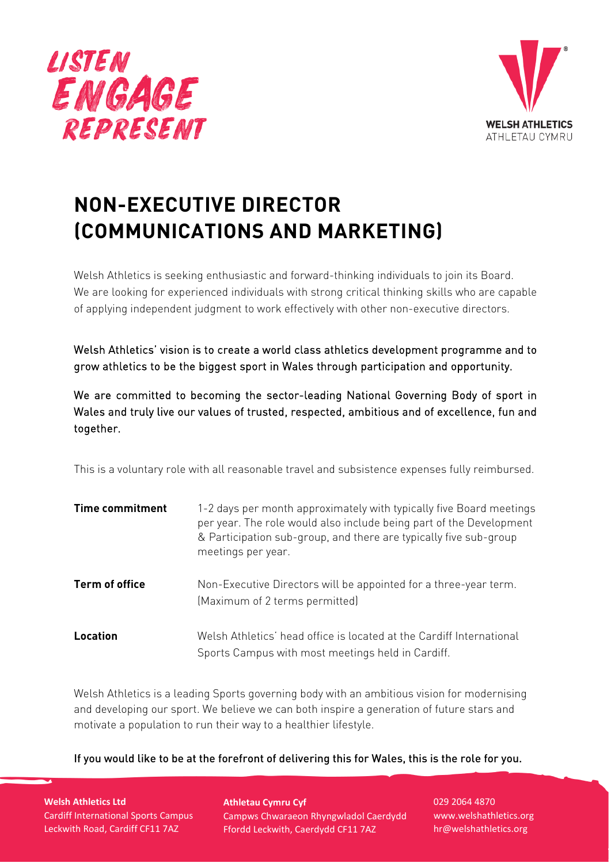



# **NON-EXECUTIVE DIRECTOR (COMMUNICATIONS AND MARKETING)**

Welsh Athletics is seeking enthusiastic and forward-thinking individuals to join its Board. We are looking for experienced individuals with strong critical thinking skills who are capable of applying independent judgment to work effectively with other non-executive directors.

Welsh Athletics' vision is to create a world class athletics development programme and to grow athletics to be the biggest sport in Wales through participation and opportunity.

We are committed to becoming the sector-leading National Governing Body of sport in Wales and truly live our values of trusted, respected, ambitious and of excellence, fun and together.

This is a voluntary role with all reasonable travel and subsistence expenses fully reimbursed.

| <b>Time commitment</b> | 1-2 days per month approximately with typically five Board meetings<br>per year. The role would also include being part of the Development<br>& Participation sub-group, and there are typically five sub-group<br>meetings per year. |
|------------------------|---------------------------------------------------------------------------------------------------------------------------------------------------------------------------------------------------------------------------------------|
| Term of office         | Non-Executive Directors will be appointed for a three-year term.<br>(Maximum of 2 terms permitted)                                                                                                                                    |
| Location               | Welsh Athletics' head office is located at the Cardiff International<br>Sports Campus with most meetings held in Cardiff.                                                                                                             |

Welsh Athletics is a leading Sports governing body with an ambitious vision for modernising and developing our sport. We believe we can both inspire a generation of future stars and motivate a population to run their way to a healthier lifestyle.

If you would like to be at the forefront of delivering this for Wales, this is the role for you.

**Welsh Athletics Ltd** Cardiff International Sports Campus Leckwith Road, Cardiff CF11 7AZ

**Athletau Cymru Cyf** Campws Chwaraeon Rhyngwladol Caerdydd Ffordd Leckwith, Caerdydd CF11 7AZ

029 2064 4870 www.welshathletics.org hr@welshathletics.org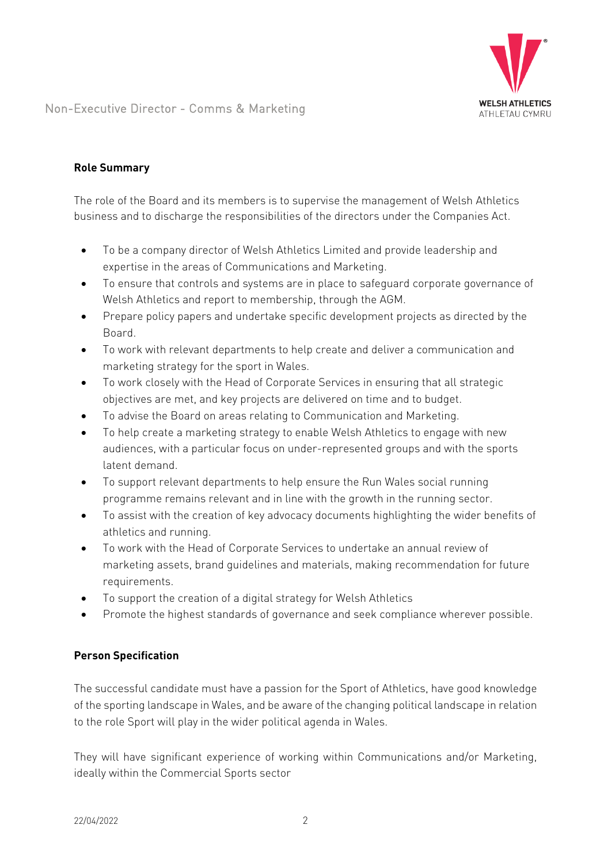

### **Role Summary**

The role of the Board and its members is to supervise the management of Welsh Athletics business and to discharge the responsibilities of the directors under the Companies Act.

- To be a company director of Welsh Athletics Limited and provide leadership and expertise in the areas of Communications and Marketing.
- To ensure that controls and systems are in place to safeguard corporate governance of Welsh Athletics and report to membership, through the AGM.
- Prepare policy papers and undertake specific development projects as directed by the Board.
- To work with relevant departments to help create and deliver a communication and marketing strategy for the sport in Wales.
- To work closely with the Head of Corporate Services in ensuring that all strategic objectives are met, and key projects are delivered on time and to budget.
- To advise the Board on areas relating to Communication and Marketing.
- To help create a marketing strategy to enable Welsh Athletics to engage with new audiences, with a particular focus on under-represented groups and with the sports latent demand.
- To support relevant departments to help ensure the Run Wales social running programme remains relevant and in line with the growth in the running sector.
- To assist with the creation of key advocacy documents highlighting the wider benefits of athletics and running.
- To work with the Head of Corporate Services to undertake an annual review of marketing assets, brand guidelines and materials, making recommendation for future requirements.
- To support the creation of a digital strategy for Welsh Athletics
- Promote the highest standards of governance and seek compliance wherever possible.

### **Person Specification**

The successful candidate must have a passion for the Sport of Athletics, have good knowledge of the sporting landscape in Wales, and be aware of the changing political landscape in relation to the role Sport will play in the wider political agenda in Wales.

They will have significant experience of working within Communications and/or Marketing, ideally within the Commercial Sports sector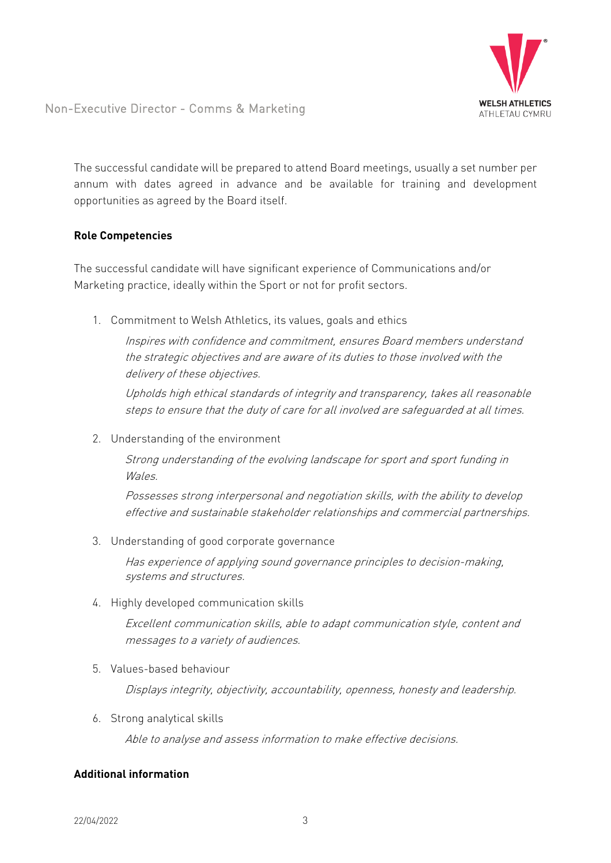

Non-Executive Director - Comms & Marketing

The successful candidate will be prepared to attend Board meetings, usually a set number per annum with dates agreed in advance and be available for training and development opportunities as agreed by the Board itself.

### **Role Competencies**

The successful candidate will have significant experience of Communications and/or Marketing practice, ideally within the Sport or not for profit sectors.

1. Commitment to Welsh Athletics, its values, goals and ethics

Inspires with confidence and commitment, ensures Board members understand the strategic objectives and are aware of its duties to those involved with the delivery of these objectives.

Upholds high ethical standards of integrity and transparency, takes all reasonable steps to ensure that the duty of care for all involved are safeguarded at all times.

2. Understanding of the environment

Strong understanding of the evolving landscape for sport and sport funding in Wales.

Possesses strong interpersonal and negotiation skills, with the ability to develop effective and sustainable stakeholder relationships and commercial partnerships.

3. Understanding of good corporate governance

Has experience of applying sound governance principles to decision-making, systems and structures.

4. Highly developed communication skills

Excellent communication skills, able to adapt communication style, content and messages to a variety of audiences.

5. Values-based behaviour

Displays integrity, objectivity, accountability, openness, honesty and leadership.

6. Strong analytical skills

Able to analyse and assess information to make effective decisions.

## **Additional information**